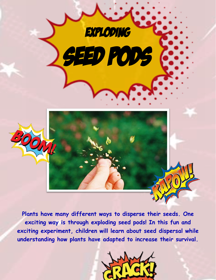

**Plants have many different ways to disperse their seeds. One exciting way is through exploding seed pods! In this fun and exciting experiment, children will learn about seed dispersal while understanding how plants have adapted to increase their survival.**

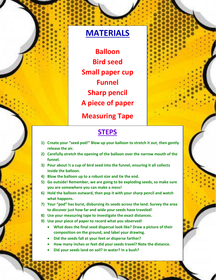## **MATERIALS**

**Balloon Bird seed Small paper cup Funnel Sharp pencil A piece of paper**

**Measuring Tape**



## **STEPS**

- **1) Create your "seed pod!" Blow up your balloon to stretch it out, then gently release the air.**
- **2) Carefully stretch the opening of the balloon over the narrow mouth of the funnel.**
- **3) Pour about ½ a cup of bird seed into the funnel, ensuring it all collects inside the balloon.**
- **4) Blow the balloon up to a robust size and tie the end.**
- **5) Go outside! Remember, we are going to be exploding seeds, so make sure you are somewhere you can make a mess!**
- **6) Hold the balloon outward, then pop it with your sharp pencil and watch what happens.**
- **7) Your "pod" has burst, disbursing its seeds across the land. Survey the area to discover just how far and wide your seeds have traveled!**
- **8) Use your measuring tape to investigate the exact distances.**
- **9) Use your piece of paper to record what you observed!** 
	- **What does the final seed dispersal look like? Draw a picture of their composition on the ground, and label your drawing.**
	- **Did the seeds fall at your feet or disperse farther?**
	- **How many inches or feet did your seeds travel? Note the distance.**
	- **Did your seeds land on soil? In water? In a bush?**